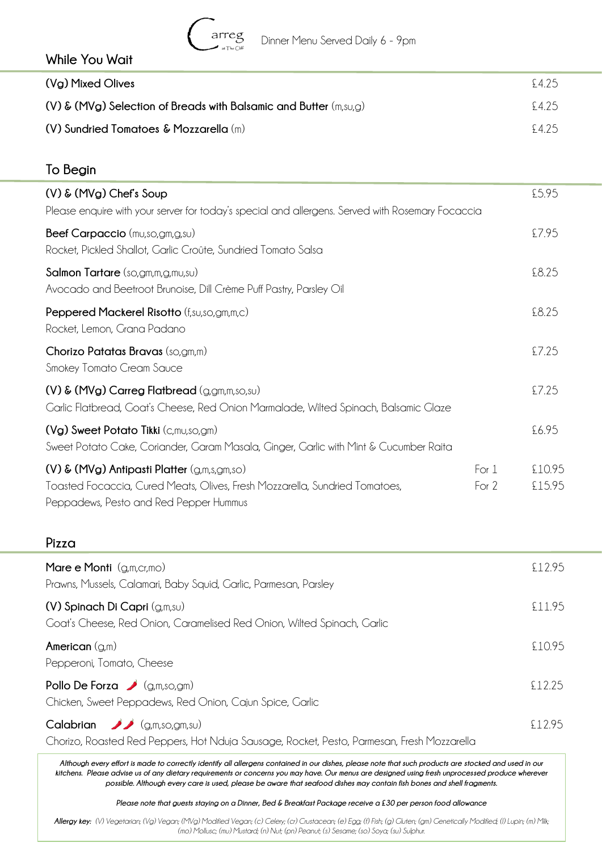

#### **While You Wait**

| (Vg) Mixed Olives                                                     | £425   |
|-----------------------------------------------------------------------|--------|
| $(V)$ & (MVg) Selection of Breads with Balsamic and Butter $(m,su,g)$ | \$425  |
| (V) Sundried Tomatoes & Mozzarella $(m)$                              | \$4.25 |

## **To Begin (V) & (MVg) Chef's Soup** £5.95 Please enquire with your server for today's special and allergens. Served with Rosemary Focaccia **Beef Carpaccio** (mu,so,gm,g,su)  $\qquad$  27.95 Rocket, Pickled Shallot, Garlic Croûte, Sundried Tomato Salsa **Salmon Tartare** (so,gm,m,g,mu,su) £8.25 Avocado and Beetroot Brunoise, Dill Crème Puff Pastry, Parsley Oil **Peppered Mackerel Risotto** (f,su,so,gm,m,c)£8.25 Rocket, Lemon, Grana Padano **Chorizo Patatas Bravas** (so,gm,m) £7.25 Smokey Tomato Cream Sauce **(V) & (MVg) Carreg Flatbread** (g,gm,m,so,su) £7.25 Garlic Flatbread, Goat's Cheese, Red Onion Marmalade, Wilted Spinach, Balsamic Glaze **(Vg) Sweet Potato Tikki** (c,mu,so,gm)  $\qquad$  **Eq. 25** Sweet Potato Cake, Coriander, Garam Masala, Ginger, Garlic with Mint & Cucumber Raita **(V) & (MVg) Antipasti Platter** (g,m,s,gm,so) For 1 £10.95 Toasted Focaccia, Cured Meats, Olives, Fresh Mozzarella, Sundried Tomatoes, For 2 E15.95 Peppadews, Pesto and Red Pepper Hummus

#### **Pizza**

| Mare e Monti $(g,m,cr,mo)$<br>Prawns, Mussels, Calamari, Baby Squid, Garlic, Parmesan, Parsley                                   | £12.95 |
|----------------------------------------------------------------------------------------------------------------------------------|--------|
| (V) Spinach Di Capri (g,m,su)<br>Goat's Cheese, Red Onion, Caramelised Red Onion, Wilted Spinach, Garlic                         | £11.95 |
| American $(g,m)$<br>Pepperoni, Tomato, Cheese                                                                                    | £10.95 |
| Pollo De Forza $\bigcup$ (g,m,so,gm)<br>Chicken, Sweet Peppadews, Red Onion, Cajun Spice, Garlic                                 | £12.25 |
| Calabrian $\bigvee$ (g,m,so,gm,su)<br>Chorizo, Roasted Red Peppers, Hot Nduja Sausage, Rocket, Pesto, Parmesan, Fresh Mozzarella | £12.95 |

*Although every effort is made to correctly identify all allergens contained in our dishes, please note that such products are stocked and used in our kitchens. Please advise us of any dietary requirements or concerns you may have. Our menus are designed using fresh unprocessed produce wherever possible. Although every care is used, please be aware that seafood dishes may contain fish bones and shell fragments.*

*Please note that guests staying on a Dinner, Bed & Breakfast Package receive a £30 per person food allowance*

*Allergy key: (V) Vegetarian; (Vg) Vegan; (MVg) Modified Vegan; (c) Celery; (cr) Crustacean; (e) Egg; (f) Fish; (g) Gluten; (gm) Genetically Modified; (l) Lupin; (m) Milk; (mo) Mollusc; (mu) Mustard; (n) Nut; (pn) Peanut; (s) Sesame; (so) Soya; (su) Sulphur.*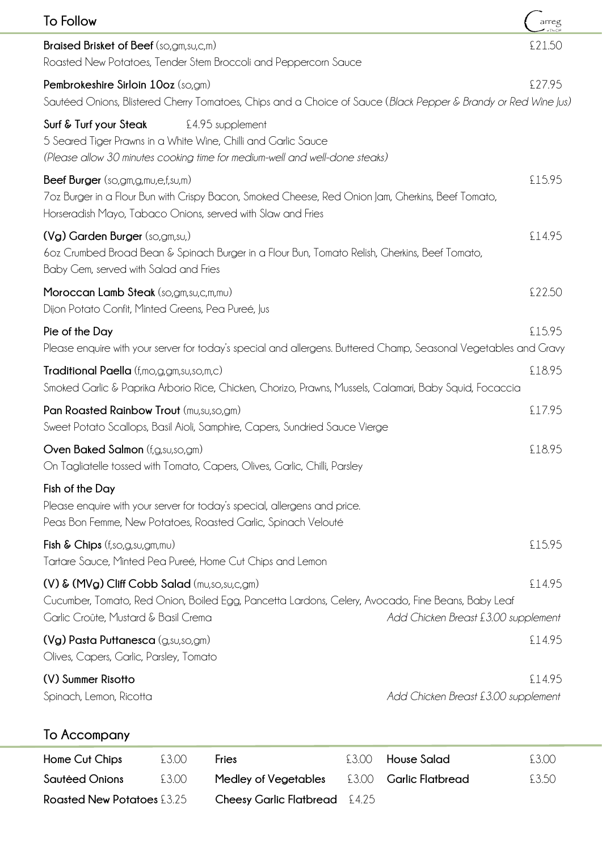| <b>To Follow</b>                                                                                                                                                                                      | arreg                                         |
|-------------------------------------------------------------------------------------------------------------------------------------------------------------------------------------------------------|-----------------------------------------------|
| <b>Braised Brisket of Beef</b> (so,gm, su, c, m)<br>Roasted New Potatoes, Tender Stem Broccoli and Peppercorn Sauce                                                                                   | £21.50                                        |
| Pembrokeshire Sirloin 10oz (so,gm)<br>Sautéed Onions, Blistered Cherry Tomatoes, Chips and a Choice of Sauce (Black Pepper & Brandy or Red Wine Jus,                                                  | £27.95                                        |
| Surf & Turf your Steak<br>£4.95 supplement<br>5 Seared Tiger Prawns in a White Wine, Chilli and Garlic Sauce<br>(Please allow 30 minutes cooking time for medium-well and well-done steaks)           |                                               |
| Beef Burger (so,gm,g,mu,e,f,su,m)<br>7oz Burger in a Flour Bun with Crispy Bacon, Smoked Cheese, Red Onion Jam, Gherkins, Beef Tomato,<br>Horseradish Mayo, Tabaco Onions, served with Slaw and Fries | £15.95                                        |
| (Vg) Garden Burger (so,gm,su,)<br>60z Crumbed Broad Bean & Spinach Burger in a Flour Bun, Tomato Relish, Cherkins, Beef Tomato,<br>Baby Gem, served with Salad and Fries                              | £14.95                                        |
| Moroccan Lamb Steak (so,gm,su,c,m,mu)<br>Dijon Potato Confit, Minted Greens, Pea Pureé, Jus                                                                                                           | £22.50                                        |
| Pie of the Day<br>Please enquire with your server for today's special and allergens. Buttered Champ, Seasonal Vegetables and Gravy                                                                    | £15.95                                        |
| Traditional Paella (f,mo,g,gm,su,so,m,c)<br>Smoked Garlic & Paprika Arborio Rice, Chicken, Chorizo, Prawns, Mussels, Calamari, Baby Squid, Focaccia                                                   | £18.95                                        |
| Pan Roasted Rainbow Trout (mu,su,so,gm)<br>Sweet Potato Scallops, Basil Aioli, Samphire, Capers, Sundried Sauce Vierge                                                                                | £17.95                                        |
| Oven Baked Salmon (f, g, su, so, gm)<br>On Tagliatelle tossed with Tomato, Capers, Olives, Garlic, Chilli, Parsley                                                                                    | £18.95                                        |
| Fish of the Day<br>Please enquire with your server for today's special, allergens and price.<br>Peas Bon Femme, New Potatoes, Roasted Garlic, Spinach Velouté                                         |                                               |
| Fish & Chips (f,so,g,su,gm,mu)<br>Tartare Sauce, Minted Pea Pureé, Home Cut Chips and Lemon                                                                                                           | £15.95                                        |
| (V) & (MVg) Cliff Cobb Salad (mu,so,su,c,gm)<br>Cucumber, Tomato, Red Onion, Boiled Egg, Pancetta Lardons, Celery, Avocado, Fine Beans, Baby Leaf<br>Garlic Croûte, Mustard & Basil Crema             | £14.95<br>Add Chicken Breast £3.00 supplement |
| (Vg) Pasta Puttanesca (g,su,so,gm)<br>Olives, Capers, Garlic, Parsley, Tomato                                                                                                                         | £14.95                                        |
| (V) Summer Risotto<br>Spinach, Lemon, Ricotta                                                                                                                                                         | £14.95<br>Add Chicken Breast £3.00 supplement |

# **To Accompany**

| Home Cut Chips                    | £3.00 | Fries                                | £3.00 House Salad             | 53.00 |
|-----------------------------------|-------|--------------------------------------|-------------------------------|-------|
| Sautėed Onions                    | £3.00 | Medley of Vegetables                 | £3.00 <b>Garlic Flatbread</b> | £3.50 |
| <b>Roasted New Potatoes £3.25</b> |       | <b>Cheesy Garlic Flatbread</b> £4.25 |                               |       |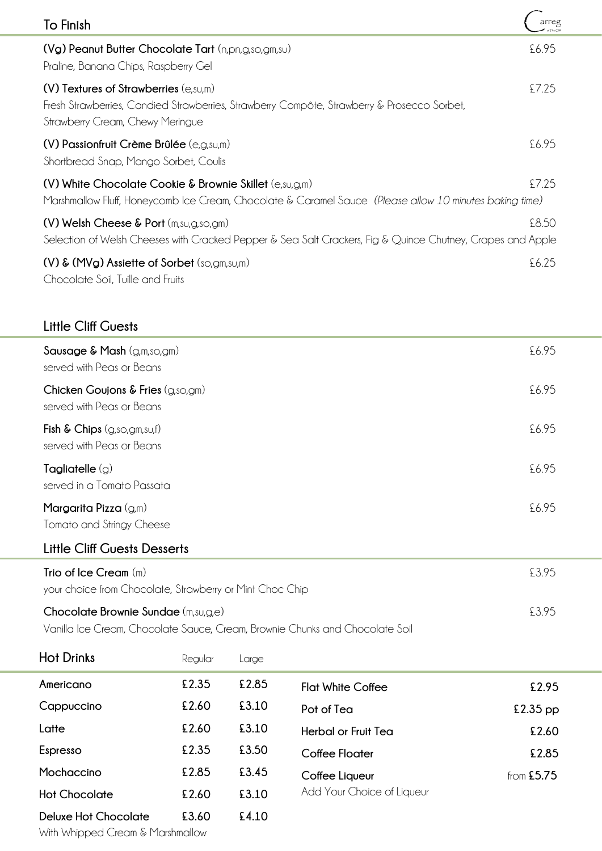| To Finish                                                                                                                                                                                    | arreg |
|----------------------------------------------------------------------------------------------------------------------------------------------------------------------------------------------|-------|
| (Vg) Peanut Butter Chocolate Tart (n,pn,g,so,gm,su)<br>Praline, Banana Chips, Raspberry Gel                                                                                                  | £6.95 |
| $(V)$ Textures of Strawberries $(e,s\cup,m)$<br>Fresh Strawberries, Candied Strawberries, Strawberry Compôte, Strawberry & Prosecco Sorbet,<br>Strawberry Cream, Chewy Meringue              | £7.25 |
| $(V)$ Passionfruit Crème Brûlée (e,g,su,m)<br>Shortbread Snap, Mango Sorbet, Coulis                                                                                                          | £6.95 |
| (V) White Chocolate Cookie & Brownie Skillet $(e, \text{su}, \text{g}, \text{m})$<br>Marshmallow Fluff, Honeycomb Ice Cream, Chocolate & Caramel Sauce (Please allow 10 minutes baking time) | £7.25 |
| $(V)$ Welsh Cheese & Port $(m, su, g, so, gm)$<br>Selection of Welsh Cheeses with Cracked Pepper & Sea Salt Crackers, Fig & Quince Chutney, Grapes and Apple                                 | £8.50 |
| (V) & (MVg) Assiette of Sorbet (so,gm,su,m)<br>Chocolate Soil, Tuille and Fruits                                                                                                             | £6.25 |

#### **Little Cliff Guests**

| Sausage & Mash $(g,m,so,gm)$<br>served with Peas or Beans      | £6.95 |
|----------------------------------------------------------------|-------|
| Chicken Goujons & Fries (g,so,gm)<br>served with Peas or Beans | £6.95 |
| Fish & Chips (g,so,gm,su,f)<br>served with Peas or Beans       | £6.95 |
| Tagliatelle $(g)$<br>served in a Tomato Passata                | £6.95 |
| Margarita Pizza $(g,m)$<br>Tomato and Stringy Cheese           | £6.95 |

# **Little Cliff Guests Desserts**

| Trio of Ice Cream $(m)$                                                      | £395 |
|------------------------------------------------------------------------------|------|
| your choice from Chocolate, Strawberry or Mint Choc Chip                     |      |
| Chocolate Brownie Sundae $(m,su,g,e)$                                        | £395 |
| Vanilla Ice Cream, Chocolate Sauce, Cream, Brownie Chunks and Chocolate Soil |      |

| <b>Hot Drinks</b>    | Regular | arge  |                            |              |
|----------------------|---------|-------|----------------------------|--------------|
| Americano            | £2.35   | £2.85 | <b>Flat White Coffee</b>   | £2.95        |
| Cappuccino           | £2.60   | £3.10 | Pot of Tea                 | $£2.35$ pp   |
| Latte                | £2.60   | £3.10 | <b>Herbal or Fruit Tea</b> | £2.60        |
| Espresso             | £2.35   | £3.50 | Coffee Floater             | £2.85        |
| Mochaccino           | £2.85   | £3.45 | Coffee Liqueur             | from $£5.75$ |
| <b>Hot Chocolate</b> | £2.60   | £3.10 | Add Your Choice of Liqueur |              |
| Deluxe Hot Chocolate | £3.60   | £4.10 |                            |              |

With Whipped Cream & Marshmallow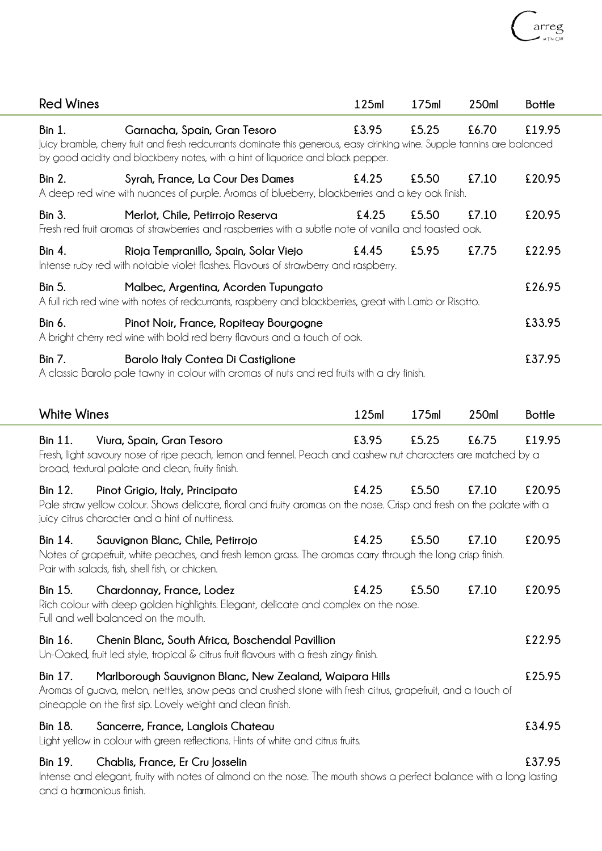| <b>Red Wines</b>                    |                                                                                                                                                                                                                                               | 125ml | 175ml | 250ml | <b>Bottle</b> |
|-------------------------------------|-----------------------------------------------------------------------------------------------------------------------------------------------------------------------------------------------------------------------------------------------|-------|-------|-------|---------------|
| Bin 1.                              | Garnacha, Spain, Gran Tesoro<br>Juicy bramble, cherry fruit and fresh redcurrants dominate this generous, easy drinking wine. Supple tannins are balanced<br>by good acidity and blackberry notes, with a hint of liquorice and black pepper. | £3.95 | £5.25 | £6.70 | £19.95        |
| Bin 2.                              | Syrah, France, La Cour Des Dames<br>A deep red wine with nuances of purple. Aromas of blueberry, blackberries and a key oak finish.                                                                                                           | £4.25 | £5.50 | £7.10 | £20.95        |
| Bin 3.                              | Merlot, Chile, Petirrojo Reserva<br>Fresh red fruit aromas of strawberries and raspberries with a subtle note of vanilla and toasted oak.                                                                                                     | £4.25 | £5.50 | £7.10 | £20.95        |
| Bin 4.                              | Rioja Tempranillo, Spain, Solar Viejo<br>Intense ruby red with notable violet flashes. Flavours of strawberry and raspberry.                                                                                                                  | £4.45 | £5.95 | £7.75 | £22.95        |
| <b>Bin 5.</b>                       | Malbec, Argentina, Acorden Tupungato<br>A full rich red wine with notes of redcurrants, raspberry and blackberries, great with Lamb or Risotto.                                                                                               |       |       |       | £26.95        |
| Bin 6.                              | Pinot Noir, France, Ropiteay Bourgogne<br>A bright cherry red wine with bold red berry flavours and a touch of oak.                                                                                                                           |       |       |       | £33.95        |
| <b>Bin 7.</b>                       | <b>Barolo Italy Contea Di Castiglione</b><br>A classic Barolo pale tawny in colour with aromas of nuts and red fruits with a dry finish.                                                                                                      |       |       |       | £37.95        |
| <b>White Wines</b>                  |                                                                                                                                                                                                                                               | 125ml | 175ml | 250ml | <b>Bottle</b> |
| Bin 11.                             | Viura, Spain, Gran Tesoro<br>Fresh, light savoury nose of ripe peach, lemon and fennel. Peach and cashew nut characters are matched by a<br>broad, textural palate and clean, fruity finish.                                                  | £3.95 | £5.25 | £6.75 | £19.95        |
| Bin 12.                             | Pinot Grigio, Italy, Principato<br>Pale straw yellow colour. Shows delicate, floral and fruity aromas on the nose. Crisp and fresh on the palate with a<br>juicy citrus character and a hint of nuttiness.                                    | £4.25 | £5.50 | £7.10 | £20.95        |
| Bin 14.                             | Sauvignon Blanc, Chile, Petirrojo<br>Notes of grapefruit, white peaches, and fresh lemon grass. The aromas carry through the long crisp finish.<br>Pair with salads, fish, shell fish, or chicken.                                            | £4.25 | £5.50 | £7.10 | £20.95        |
| Bin 15.                             | Chardonnay, France, Lodez<br>Rich colour with deep golden highlights. Elegant, delicate and complex on the nose.<br>Full and well balanced on the mouth.                                                                                      | £4.25 | £5.50 | £7.10 | £20.95        |
| Bin 16.                             | Chenin Blanc, South Africa, Boschendal Pavillion<br>Un-Oaked, fruit led style, tropical & citrus fruit flavours with a fresh zingy finish.                                                                                                    |       |       |       | £22.95        |
| Bin 17.                             | Marlborough Sauvignon Blanc, New Zealand, Waipara Hills<br>Aromas of guava, melon, nettles, snow peas and crushed stone with fresh citrus, grapefruit, and a touch of<br>pineapple on the first sip. Lovely weight and clean finish.          |       |       |       | £25.95        |
| Bin 18.                             | Sancerre, France, Langlois Chateau<br>Light yellow in colour with green reflections. Hints of white and citrus fruits.                                                                                                                        |       |       |       | £34.95        |
| Bin 19.<br>and a harmonious finish. | Chablis, France, Er Cru Josselin<br>Intense and elegant, fruity with notes of almond on the nose. The mouth shows a perfect balance with a long lasting                                                                                       |       |       |       | £37.95        |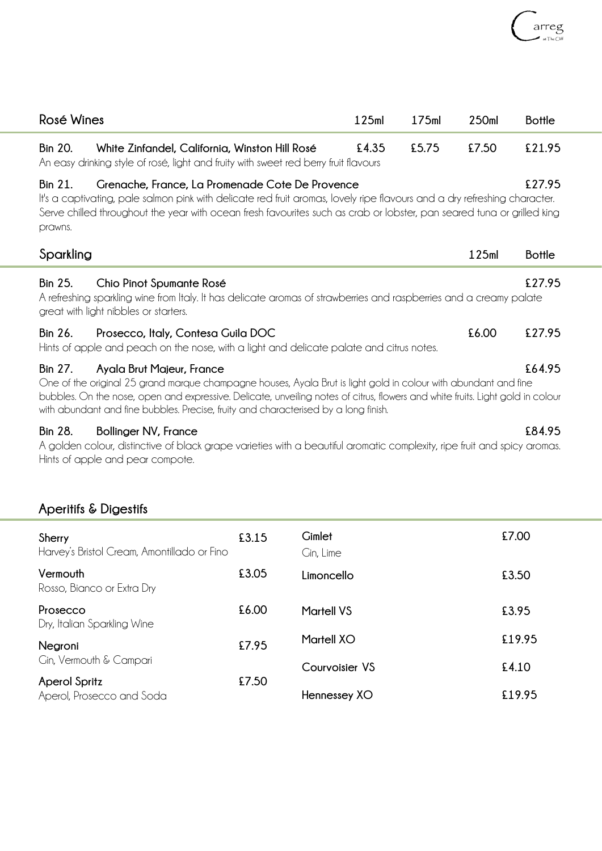| Rosé Wines                |                                                                                                                                                                                                                                                                                                                                                                       | 125ml | 175ml | 250ml | <b>Bottle</b> |
|---------------------------|-----------------------------------------------------------------------------------------------------------------------------------------------------------------------------------------------------------------------------------------------------------------------------------------------------------------------------------------------------------------------|-------|-------|-------|---------------|
| <b>Bin 20.</b>            | White Zinfandel, California, Winston Hill Rosé<br>An easy drinking style of rosé, light and fruity with sweet red berry fruit flavours                                                                                                                                                                                                                                | £4.35 | £5.75 | £7.50 | £21.95        |
| <b>Bin 21.</b><br>prawns. | Grenache, France, La Promenade Cote De Provence<br>It's a captivating, pale salmon pink with delicate red fruit aromas, lovely ripe flavours and a dry refreshing character.<br>Serve chilled throughout the year with ocean fresh favourites such as crab or lobster, pan seared tuna or grilled king                                                                |       |       |       | £27.95        |
| Sparkling                 |                                                                                                                                                                                                                                                                                                                                                                       |       |       | 125ml | <b>Bottle</b> |
| <b>Bin 25.</b>            | Chio Pinot Spumante Rosé<br>A refreshing sparkling wine from Italy. It has delicate aromas of strawberries and raspberries and a creamy palate<br>great with light nibbles or starters.                                                                                                                                                                               |       |       |       | £27.95        |
| Bin 26.                   | Prosecco, Italy, Contesa Guila DOC<br>Hints of apple and peach on the nose, with a light and delicate palate and citrus notes.                                                                                                                                                                                                                                        |       |       | £6.00 | £27.95        |
| Bin 27.                   | Ayala Brut Majeur, France<br>One of the original 25 grand marque champagne houses, Ayala Brut is light gold in colour with abundant and fine<br>bubbles. On the nose, open and expressive. Delicate, unveiling notes of citrus, flowers and white fruits. Light gold in colour<br>with abundant and fine bubbles. Precise, fruity and characterised by a long finish. |       |       |       | £64.95        |
| <b>Bin 28.</b>            | <b>Bollinger NV, France</b>                                                                                                                                                                                                                                                                                                                                           |       |       |       | £84.95        |

A golden colour, distinctive of black grape varieties with a beautiful aromatic complexity, ripe fruit and spicy aromas. Hints of apple and pear compote.

#### **Aperitifs & Digestifs**

| Sherry<br>Harvey's Bristol Cream, Amontillado or Fino | £3.15 | Gimlet<br>Gin, Lime | £7.00  |
|-------------------------------------------------------|-------|---------------------|--------|
| Vermouth<br>Rosso, Bianco or Extra Dry                | £3.05 | Limoncello          | £3.50  |
| Prosecco<br>Dry, Italian Sparkling Wine               | £6.00 | <b>Martell VS</b>   | £3.95  |
| Negroni                                               | £7.95 | <b>Martell XO</b>   | £19.95 |
| Cin, Vermouth & Campari                               |       | Courvoisier VS      | £4.10  |
| <b>Aperol Spritz</b><br>Aperol, Prosecco and Soda     | £7.50 | Hennessey XO        | £19.95 |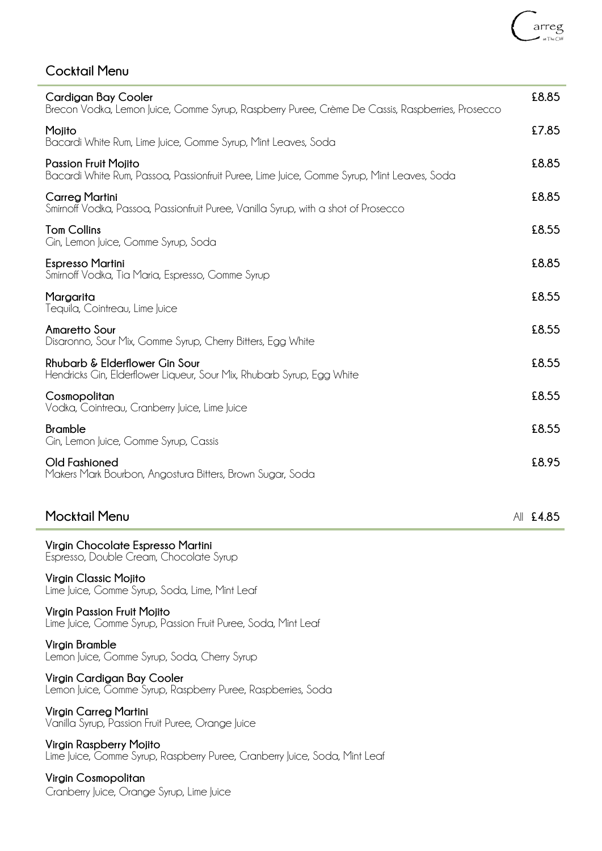### **Cocktail Menu**

| <b>Cardigan Bay Cooler</b><br>Brecon Vodka, Lemon Juice, Gomme Syrup, Raspberry Puree, Crème De Cassis, Raspberries, Prosecco | £8.85     |
|-------------------------------------------------------------------------------------------------------------------------------|-----------|
| Mojito<br>Bacardi White Rum, Lime Juice, Gomme Syrup, Mint Leaves, Soda                                                       | £7.85     |
| <b>Passion Fruit Moiito</b><br>Bacardi White Rum, Passoa, Passionfruit Puree, Lime Juice, Gomme Syrup, Mint Leaves, Soda      | £8.85     |
| <b>Carreg Martini</b><br>Smirnoff Vodka, Passoa, Passionfruit Puree, Vanilla Syrup, with a shot of Prosecco                   | £8.85     |
| <b>Tom Collins</b><br>Cin, Lemon Juice, Comme Syrup, Soda                                                                     | £8.55     |
| <b>Espresso Martini</b><br>Smirnoff Vodka, Tia Maria, Espresso, Gomme Syrup                                                   | £8.85     |
| Margarita<br>Tequila, Cointreau, Lime Juice                                                                                   | £8.55     |
| <b>Amaretto Sour</b><br>Disaronno, Sour Mix, Gomme Syrup, Cherry Bitters, Egg White                                           | £8.55     |
| Rhubarb & Elderflower Gin Sour<br>Hendricks Gin, Elderflower Liqueur, Sour Mix, Rhubarb Syrup, Egg White                      | £8.55     |
| Cosmopolitan<br>Vodka, Cointreau, Cranberry Juice, Lime Juice                                                                 | £8.55     |
| <b>Bramble</b><br>Cin, Lemon Juice, Comme Syrup, Cassis                                                                       | £8.55     |
| <b>Old Fashioned</b><br>Makers Mark Bourbon, Angostura Bitters, Brown Sugar, Soda                                             | £8.95     |
| <b>Mocktail Menu</b>                                                                                                          | AII £4.85 |
| Virgin Chocolate Espresso Martini<br>Espresso, Double Cream, Chocolate Syrup                                                  |           |
| Virgin Classic Mojito<br>Lime Juice, Gomme Syrup, Soda, Lime, Mint Leaf                                                       |           |
| <b>Virgin Passion Fruit Mojito</b><br>Lime Juice, Gomme Syrup, Passion Fruit Puree, Soda, Mint Leaf                           |           |
| Virgin Bramble<br>Lemon Juice, Gomme Syrup, Soda, Cherry Syrup                                                                |           |
| Virgin Cardigan Bay Cooler<br>Lemon Juice, Gomme Syrup, Raspberry Puree, Raspberries, Soda                                    |           |
| Virgin Carreg Martini<br>Vanilla Syrup, Passion Fruit Puree, Orange Juice                                                     |           |

**Virgin Raspberry Mojito**

Lime Juice, Gomme Syrup, Raspberry Puree, Cranberry Juice, Soda, Mint Leaf

**Virgin Cosmopolitan** Cranberry Juice, Orange Syrup, Lime Juice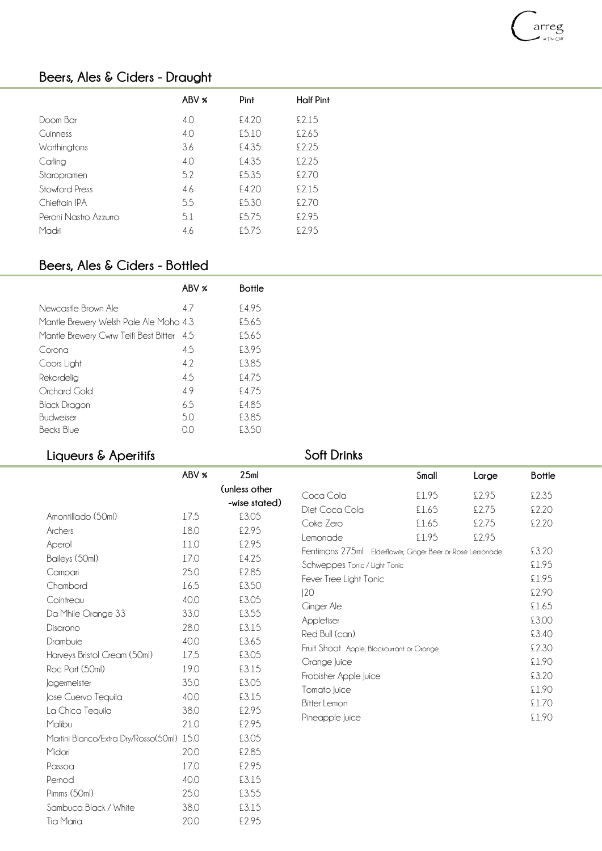# arreg

### **Beers, Ales & Ciders - Draught**

|                       | ABV % | Pint  | <b>Half Pint</b> |
|-----------------------|-------|-------|------------------|
| Doom Bar              | 4.0   | £4.20 | £2.15            |
| <b>Guinness</b>       | 4.0   | £5.10 | £2.65            |
| Worthingtons          | 3.6   | £4.35 | £2.25            |
| Carling               | 4.0   | £4.35 | £2.25            |
| Staropramen           | 5.2   | £5.35 | £2.70            |
| Stowford Press        | 4.6   | £4.20 | £2.15            |
| Chieftain IPA         | 5.5   | £5.30 | £2.70            |
| Peroni Nastro Azzurro | 5.1   | £5.75 | £2.95            |
| Madri                 | 4.6   | £5.75 | £2.95            |

#### **Beers, Ales & Ciders - Bottled**

|                                        | ABV %  | <b>Bottle</b> |
|----------------------------------------|--------|---------------|
| Newcastle Brown Ale                    | 47     | £495          |
| Mantle Brewery Welsh Pale Ale Moho 4.3 |        | \$565         |
| Mantle Brewery Cwrw Teifi Best Bitter  | 4.5    | \$565         |
| Corona                                 | 4.5    | £395          |
| Coors Light                            | 42     | £385          |
| Rekordelig                             | 4.5    | \$475         |
| Orchard Gold                           | 49     | \$475         |
| Black Dragon                           | 6.5    | £485          |
| Budweiser                              | 50     | £3.85         |
| Becks Blue                             | $\Box$ | £3.50         |

Tia Maria 20.0 £2.95

#### **Liqueurs & Aperitifs**

#### **Soft Drinks**

|                                           | ABV % | 25ml                           |                                                           | Small | Large | <b>Bottle</b>  |
|-------------------------------------------|-------|--------------------------------|-----------------------------------------------------------|-------|-------|----------------|
|                                           |       | (unless other<br>-wise stated) | Coca Cola                                                 | £1.95 | £2.95 | £2.35          |
| Amontillado (50ml)                        | 17.5  | £3.05                          | Diet Coca Cola                                            | £1.65 | £2.75 | £2.20          |
| Archers                                   | 18.0  | £2.95                          | Coke Zero                                                 | £1.65 | £2.75 | £2.20          |
| Aperol                                    | 11.0  | £2.95                          | Lemonade                                                  | £1.95 | £2.95 |                |
| Baileys (50ml)                            | 17.0  | £4.25                          | Fentimans 275ml Elderflower, Ginger Beer or Rose Lemonade |       |       | £3.20          |
| Campari                                   | 25.0  | £2.85                          | Schweppes Tonic / Light Tonic                             |       |       | £1.95          |
| Chambord                                  | 16.5  | £3.50                          | Fever Tree Light Tonic                                    |       |       | £1.95          |
| Cointreau                                 | 40.0  | £3.05                          | 120                                                       |       |       | £2.90<br>£1.65 |
| Da Mhile Orange 33                        | 33.0  | £3.55                          | <b>Cinger Ale</b><br>Appletiser                           |       |       | £3.00          |
| Disarono                                  | 28.0  | £3.15                          | Red Bull (can)                                            |       |       | £3.40          |
| Drambuie                                  | 40.0  | £3.65                          | Fruit Shoot Apple, Blackcurrant or Orange                 |       |       | £2.30          |
| Harveys Bristol Cream (50ml)              | 17.5  | £3.05                          | Orange Juice                                              |       |       | £1.90          |
| Roc Port (50ml)                           | 19.0  | £3.15                          | Frobisher Apple Juice                                     |       |       | £3.20          |
| Jagermeister                              | 35.0  | £3.05                          | Tomato Juice                                              |       |       | £1.90          |
| Jose Cuervo Tequila                       | 40.0  | £3.15                          | <b>Bitter Lemon</b>                                       |       |       | £1.70          |
| La Chica Tequila                          | 38.0  | £2.95                          | Pineapple Juice                                           |       |       | £1.90          |
| Malibu                                    | 21.0  | £2.95                          |                                                           |       |       |                |
| Martini Bianco/Extra Dry/Rosso(50ml) 15.0 |       | £3.05                          |                                                           |       |       |                |
| Midori                                    | 20.0  | £2.85                          |                                                           |       |       |                |
| Passoa                                    | 17.0  | £2.95                          |                                                           |       |       |                |
| Pernod                                    | 40.0  | £3.15                          |                                                           |       |       |                |
| Pimms (50ml)                              | 25.0  | £3.55                          |                                                           |       |       |                |
| Sambuca Black / White                     | 38.0  | £3.15                          |                                                           |       |       |                |